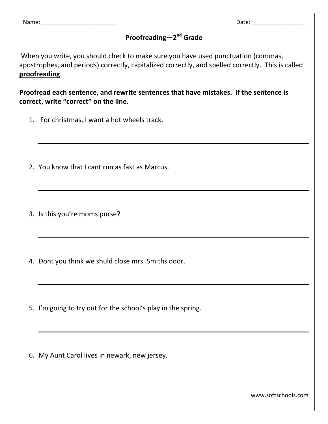Name: where the contract of the contract of the contract of the contract of the Date:

## **Proofreading**-2<sup>nd</sup> Grade

When you write, you should check to make sure you have used punctuation (commas, apostrophes, and periods) correctly, capitalized correctly, and spelled correctly. This is called **proofreading**.

**Proofread each sentence, and rewrite sentences that have mistakes. If the sentence is correct, write "correct" on the line.**

- 1. For christmas, I want a hot wheels track.
- 2. You know that I cant run as fast as Marcus.
- 3. Is this you're moms purse?
- 4. Dont you think we shuld close mrs. Smiths door.
- 5. I'm going to try out for the school's play in the spring.
- 6. My Aunt Carol lives in newark, new jersey.

www.softschools.com